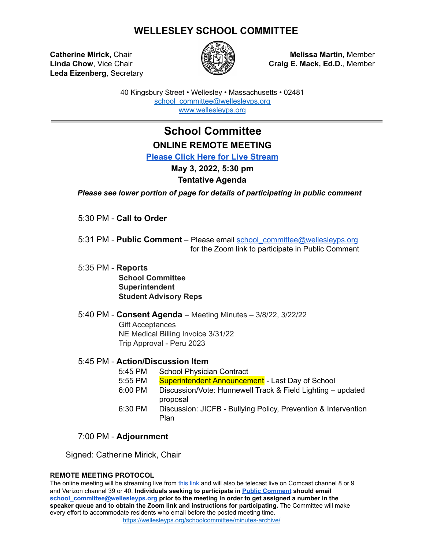## **WELLESLEY SCHOOL COMMITTEE**

**Leda Eizenberg**, Secretary



**Catherine Mirick,** Chair **Melissa Martin,** Member **Linda Chow**, Vice Chair **Craig E. Mack, Ed.D.**, Member

> 40 Kingsbury Street • Wellesley • Massachusetts • 02481 [school\\_committee@wellesleyps.org](mailto:school_committee@wellesleyps.org) [www.wellesleyps.org](http://www.wellesleyps.org)

## **School Committee ONLINE REMOTE MEETING**

**[Please Click Here for Live Stream](https://www.wellesleymedia.org/live-streaming.html)**

## **May 3, 2022, 5:30 pm**

### **Tentative Agenda**

*Please see lower portion of page for details of participating in public comment*

5:30 PM - **Call to Order**

5:31 PM - **Public Comment** – Please email school\_committee@wellesleyps.org for the Zoom link to participate in Public Comment

- 5:35 PM **Reports School Committee Superintendent Student Advisory Reps**
- 5:40 PM **Consent Agenda** Meeting Minutes 3/8/22, 3/22/22 Gift Acceptances NE Medical Billing Invoice 3/31/22 Trip Approval - Peru 2023

### 5:45 PM - **Action/Discussion Item**

- 5:45 PM School Physician Contract
- 5:55 PM Superintendent Announcement Last Day of School
- 6:00 PM Discussion/Vote: Hunnewell Track & Field Lighting updated proposal
- 6:30 PM Discussion: JICFB Bullying Policy, Prevention & Intervention Plan

### 7:00 PM - **Adjournment**

Signed: Catherine Mirick, Chair

#### **REMOTE MEETING PROTOCOL**

The online meeting will be streaming live from this link and will also be telecast live on Comcast channel 8 or 9 and Verizon channel 39 or 40. **Individuals seeking to participate in [Public Comment](https://z2policy.ctspublish.com/masc/browse/wellesleyset/wellesley/BEDH) should email school\_committee@wellesleyps.org prior to the meeting in order to get assigned a number in the speaker queue and to obtain the Zoom link and instructions for participating.** The Committee will make every effort to accommodate residents who email before the posted meeting time. https://wellesleyps.org/schoolcommittee/minutes-archive/